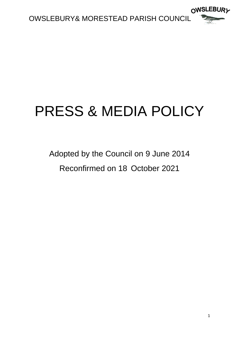

# PRESS & MEDIA POLICY

# Adopted by the Council on 9 June 2014 Reconfirmed on 18 October 2021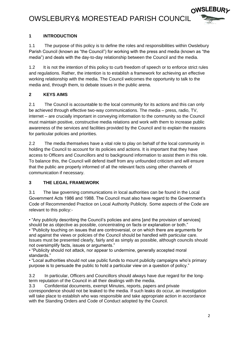## OWSLEBURY& MORESTEAD PARISH COUNCIL



#### **1 INTRODUCTION**

1.1 The purpose of this policy is to define the roles and responsibilities within Owslebury Parish Council (known as "the Council") for working with the press and media (known as "the media") and deals with the day-to-day relationship between the Council and the media.

1.2 It is not the intention of this policy to curb freedom of speech or to enforce strict rules and regulations. Rather, the intention is to establish a framework for achieving an effective working relationship with the media. The Council welcomes the opportunity to talk to the media and, through them, to debate issues in the public arena.

#### **2 KEYS AIMS**

2.1 The Council is accountable to the local community for its actions and this can only be achieved through effective two-way communications. The media – press, radio, TV, internet – are crucially important in conveying information to the community so the Council must maintain positive, constructive media relations and work with them to increase public awareness of the services and facilities provided by the Council and to explain the reasons for particular policies and priorities.

2.2 The media themselves have a vital role to play on behalf of the local community in holding the Council to account for its policies and actions. It is important that they have access to Officers and Councillors and to background information to assist them in this role. To balance this, the Council will defend itself from any unfounded criticism and will ensure that the public are properly informed of all the relevant facts using other channels of communication if necessary.

#### **3 THE LEGAL FRAMEWORK**

3.1 The law governing communications in local authorities can be found in the Local Government Acts 1986 and 1988. The Council must also have regard to the Government's Code of Recommended Practice on Local Authority Publicity. Some aspects of the Code are relevant to this policy:-

• "Any publicity describing the Council's policies and aims [and the provision of services] should be as objective as possible, concentrating on facts or explanation or both." • "Publicity touching on issues that are controversial, or on which there are arguments for and against the views or policies of the Council should be handled with particular care. Issues must be presented clearly, fairly and as simply as possible, although councils should not oversimplify facts, issues or arguments."

• "Publicity should not attack, nor appear to undermine, generally accepted moral standards."

• "Local authorities should not use public funds to mount publicity campaigns who's primary purpose is to persuade the public to hold a particular view on a question of policy."

3.2 In particular, Officers and Councillors should always have due regard for the longterm reputation of the Council in all their dealings with the media.

3.3 Confidential documents, exempt Minutes, reports, papers and private

correspondence should not be leaked to the media. If such leaks do occur, an investigation will take place to establish who was responsible and take appropriate action in accordance with the Standing Orders and Code of Conduct adopted by the Council.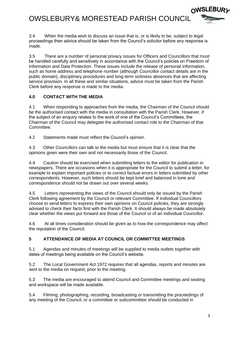

3.4 When the media wish to discuss an issue that is, or is likely to be, subject to legal proceedings then advice should be taken from the Council's solicitor before any response is made.

3.5 There are a number of personal privacy issues for Officers and Councillors that must be handled carefully and sensitively in accordance with the Council's policies on Freedom of Information and Data Protection. These issues include the release of personal information, such as home address and telephone number (although Councillor contact details are in the public domain), disciplinary procedures and long-term sickness absences that are affecting service provision. In all these and similar situations, advice must be taken from the Parish Clerk before any response is made to the media.

#### **4.0 CONTACT WITH THE MEDIA**

4.1 When responding to approaches from the media, the Chairman of the Council should be the authorised contact with the media in consultation with the Parish Clerk. However, if the subject of an enquiry relates to the work of one of the Council's Committees, the Chairman of the Council may delegate the authorised contact role to the Chairman of that Committee.

4.2 Statements made must reflect the Council's opinion.

4.3 Other Councillors can talk to the media but must ensure that it is clear that the opinions given were their own and not necessarily those of the Council.

4.4 Caution should be exercised when submitting letters to the editor for publication in newspapers. There are occasions when it is appropriate for the Council to submit a letter, for example to explain important policies or to correct factual errors in letters submitted by other correspondents. However, such letters should be kept brief and balanced in tone and correspondence should not be drawn out over several weeks.

4.5 Letters representing the views of the Council should only be issued by the Parish Clerk following agreement by the Council or relevant Committee. If individual Councillors choose to send letters to express their own opinions on Council policies, they are strongly advised to check their facts first with the Parish Clerk. It should always be made absolutely clear whether the views put forward are those of the Council or of an individual Councillor.

4.6 At all times consideration should be given as to how the correspondence may affect the reputation of the Council.

#### **5 ATTENDANCE OF MEDIA AT COUNCIL OR COMMITTEE MEETINGS**

5.1 Agendas and minutes of meetings will be supplied to media outlets together with dates of meetings being available on the Council's website.

5.2 The Local Government Act 1972 requires that all agendas, reports and minutes are sent to the media on request, prior to the meeting.

5.3 The media are encouraged to attend Council and Committee meetings and seating and workspace will be made available.

5.4 Filming, photographing, recording, broadcasting or transmitting the proceedings of any meeting of the Council, or a committee or subcommittee should be conducted in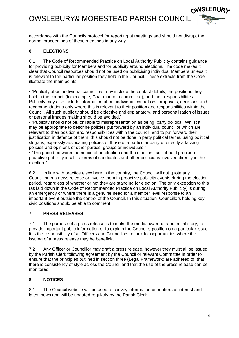## OWSLEBURY& MORESTEAD PARISH COUNCIL



accordance with the Councils protocol for reporting at meetings and should not disrupt the normal proceedings of these meetings in any way.

#### **6 ELECTIONS**

6.1 The Code of Recommended Practice on Local Authority Publicity contains guidance for providing publicity for Members and for publicity around elections. The code makes it clear that Council resources should not be used on publicising individual Members unless it is relevant to the particular position they hold in the Council. These extracts from the Code illustrate the main points:-

• "Publicity about individual councillors may include the contact details, the positions they hold in the council (for example, Chairman of a committee), and their responsibilities. Publicity may also include information about individual councillors' proposals, decisions and recommendations only where this is relevant to their position and responsibilities within the Council. All such publicity should be objective and explanatory, and personalisation of issues or personal images making should be avoided."

• "Publicity should not be, or liable to misrepresentation as being, party political. Whilst it may be appropriate to describe policies put forward by an individual councillor which are relevant to their position and responsibilities within the council, and to put forward their justification in defence of them, this should not be done in party political terms, using political slogans, expressly advocating policies of those of a particular party or directly attacking policies and opinions of other parties, groups or individuals."

• "The period between the notice of an election and the election itself should preclude proactive publicity in all its forms of candidates and other politicians involved directly in the election."

6.2 In line with practice elsewhere in the country, the Council will not quote any Councillor in a news release or involve them in proactive publicity events during the election period, regardless of whether or not they are standing for election. The only exception to this (as laid down in the Code of Recommended Practice on Local Authority Publicity) is during an emergency or where there is a genuine need for a member level response to an important event outside the control of the Council. In this situation, Councillors holding key civic positions should be able to comment.

#### **7 PRESS RELEASES**

7.1 The purpose of a press release is to make the media aware of a potential story, to provide important public information or to explain the Council's position on a particular issue. It is the responsibility of all Officers and Councillors to look for opportunities where the issuing of a press release may be beneficial.

7.2 Any Officer or Councillor may draft a press release, however they must all be issued by the Parish Clerk following agreement by the Council or relevant Committee in order to ensure that the principles outlined in section three (Legal Framework) are adhered to, that there is consistency of style across the Council and that the use of the press release can be monitored.

#### **8 NOTICES**

8.1 The Council website will be used to convey information on matters of interest and latest news and will be updated regularly by the Parish Clerk.